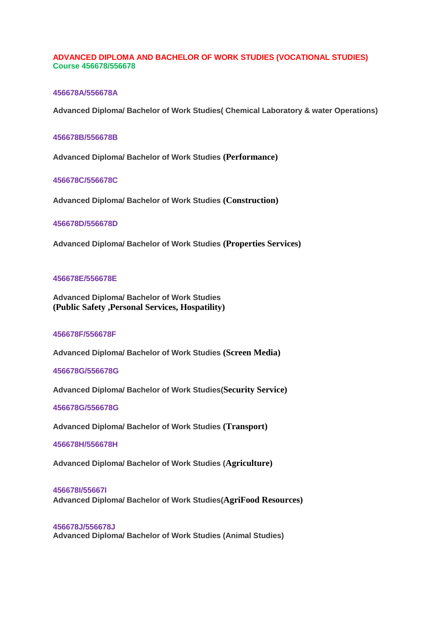## **ADVANCED DIPLOMA AND BACHELOR OF WORK STUDIES (VOCATIONAL STUDIES) Course 456678/556678**

### **456678A/556678A**

**Advanced Diploma/ Bachelor of Work Studies( Chemical Laboratory & water Operations)**

#### **456678B/556678B**

**Advanced Diploma/ Bachelor of Work Studies (Performance)**

## **456678C/556678C**

**Advanced Diploma/ Bachelor of Work Studies (Construction)**

#### **456678D/556678D**

**Advanced Diploma/ Bachelor of Work Studies (Properties Services)**

#### **456678E/556678E**

**Advanced Diploma/ Bachelor of Work Studies (Public Safety ,Personal Services, Hospatility)**

#### **456678F/556678F**

**Advanced Diploma/ Bachelor of Work Studies (Screen Media)**

## **456678G/556678G**

**Advanced Diploma/ Bachelor of Work Studies(Security Service)**

#### **456678G/556678G**

**Advanced Diploma/ Bachelor of Work Studies (Transport)**

#### **456678H/556678H**

**Advanced Diploma/ Bachelor of Work Studies (Agriculture)**

# **456678I/55667I**

**Advanced Diploma/ Bachelor of Work Studies(AgriFood Resources)**

#### **456678J/556678J**

**Advanced Diploma/ Bachelor of Work Studies (Animal Studies)**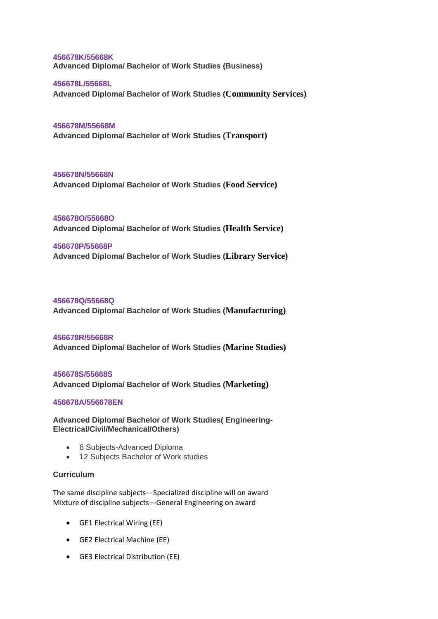**456678K/55668K Advanced Diploma/ Bachelor of Work Studies (Business)**

**456678L/55668L Advanced Diploma/ Bachelor of Work Studies (Community Services)**

**456678M/55668M Advanced Diploma/ Bachelor of Work Studies (Transport)**

**456678N/55668N Advanced Diploma/ Bachelor of Work Studies (Food Service)**

**456678O/55668O Advanced Diploma/ Bachelor of Work Studies (Health Service)**

## **456678P/55668P**

**Advanced Diploma/ Bachelor of Work Studies (Library Service)**

**456678Q/55668Q Advanced Diploma/ Bachelor of Work Studies (Manufacturing)**

#### **456678R/55668R**

**Advanced Diploma/ Bachelor of Work Studies (Marine Studies)**

#### **456678S/55668S**

**Advanced Diploma/ Bachelor of Work Studies (Marketing)**

### **456678A/556678EN**

**Advanced Diploma/ Bachelor of Work Studies( Engineering-Electrical/Civil/Mechanical/Others)**

- 6 Subjects-Advanced Diploma
- 12 Subjects Bachelor of Work studies

#### **Curriculum**

The same discipline subjects—Specialized discipline will on award Mixture of discipline subjects—General Engineering on award

- GE1 Electrical Wiring (EE)
- GE2 Electrical Machine (EE)
- GE3 Electrical Distribution (EE)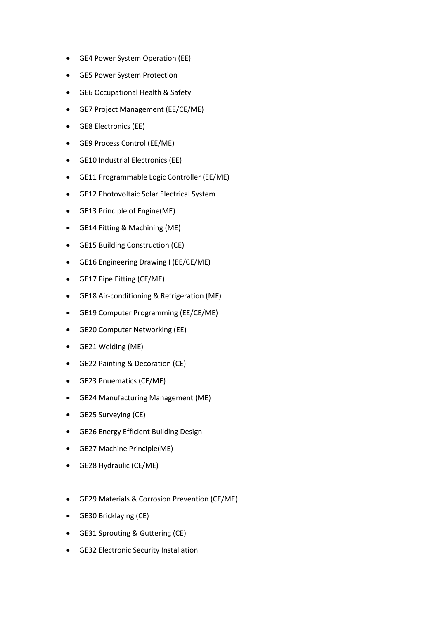- GE4 Power System Operation (EE)
- GE5 Power System Protection
- GE6 Occupational Health & Safety
- GE7 Project Management (EE/CE/ME)
- GE8 Electronics (EE)
- GE9 Process Control (EE/ME)
- GE10 Industrial Electronics (EE)
- GE11 Programmable Logic Controller (EE/ME)
- GE12 Photovoltaic Solar Electrical System
- GE13 Principle of Engine(ME)
- GE14 Fitting & Machining (ME)
- GE15 Building Construction (CE)
- GE16 Engineering Drawing I (EE/CE/ME)
- GE17 Pipe Fitting (CE/ME)
- GE18 Air-conditioning & Refrigeration (ME)
- GE19 Computer Programming (EE/CE/ME)
- GE20 Computer Networking (EE)
- GE21 Welding (ME)
- GE22 Painting & Decoration (CE)
- GE23 Pnuematics (CE/ME)
- GE24 Manufacturing Management (ME)
- GE25 Surveying (CE)
- GE26 Energy Efficient Building Design
- GE27 Machine Principle(ME)
- GE28 Hydraulic (CE/ME)
- GE29 Materials & Corrosion Prevention (CE/ME)
- GE30 Bricklaying (CE)
- GE31 Sprouting & Guttering (CE)
- GE32 Electronic Security Installation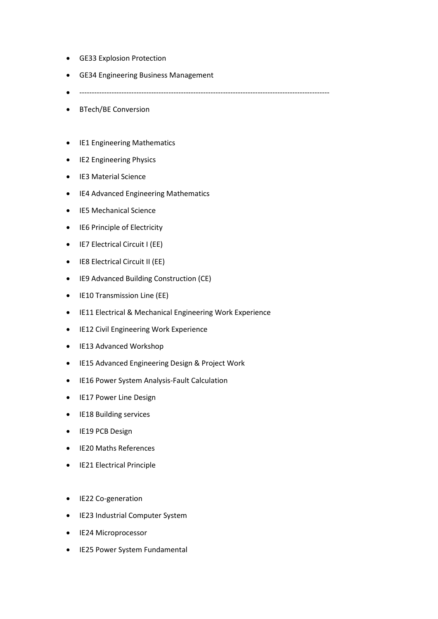- GE33 Explosion Protection
- GE34 Engineering Business Management
- -----------------------------------------------------------------------------------------------------
- BTech/BE Conversion
- IE1 Engineering Mathematics
- IE2 Engineering Physics
- IE3 Material Science
- IE4 Advanced Engineering Mathematics
- IE5 Mechanical Science
- IE6 Principle of Electricity
- IE7 Electrical Circuit I (EE)
- IE8 Electrical Circuit II (EE)
- IE9 Advanced Building Construction (CE)
- IE10 Transmission Line (EE)
- IE11 Electrical & Mechanical Engineering Work Experience
- **•** IE12 Civil Engineering Work Experience
- IE13 Advanced Workshop
- IE15 Advanced Engineering Design & Project Work
- IE16 Power System Analysis-Fault Calculation
- IE17 Power Line Design
- IE18 Building services
- IE19 PCB Design
- IE20 Maths References
- IE21 Electrical Principle
- IE22 Co-generation
- IE23 Industrial Computer System
- IE24 Microprocessor
- IE25 Power System Fundamental